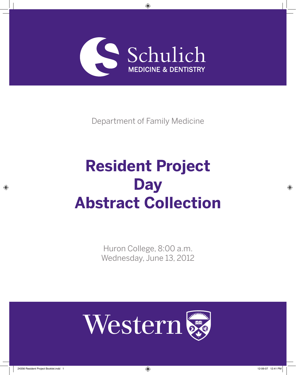

Department of Family Medicine

# **Resident Project Day Abstract Collection**

Huron College, 8:00 a.m. Wednesday, June 13, 2012



⊕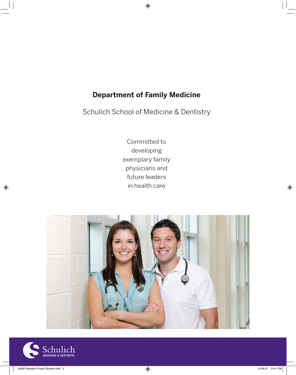# **Department of Family Medicine**

 $\bigoplus$ 

Schulich School of Medicine & Dentistry

Committed to developing exemplary family physicians and future leaders in health care





 $\bigoplus$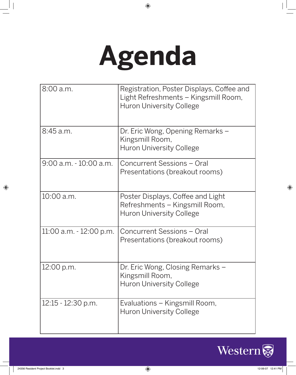# **Agenda**

 $\bigoplus$ 

| 8:00 a.m.                  | Registration, Poster Displays, Coffee and<br>Light Refreshments – Kingsmill Room,<br><b>Huron University College</b> |
|----------------------------|----------------------------------------------------------------------------------------------------------------------|
| 8:45 a.m.                  | Dr. Eric Wong, Opening Remarks -<br>Kingsmill Room,<br><b>Huron University College</b>                               |
| $9:00$ a.m. $-10:00$ a.m.  | Concurrent Sessions - Oral<br>Presentations (breakout rooms)                                                         |
| 10:00 a.m.                 | Poster Displays, Coffee and Light<br>Refreshments – Kingsmill Room,<br><b>Huron University College</b>               |
| $11:00$ a.m. $-12:00$ p.m. | Concurrent Sessions - Oral<br>Presentations (breakout rooms)                                                         |
| 12:00 p.m.                 | Dr. Eric Wong, Closing Remarks -<br>Kingsmill Room,<br><b>Huron University College</b>                               |
| $12:15 - 12:30$ p.m.       | Evaluations – Kingsmill Room,<br><b>Huron University College</b>                                                     |



 $\begin{array}{c} \hline \end{array}$ 

 $\bigoplus$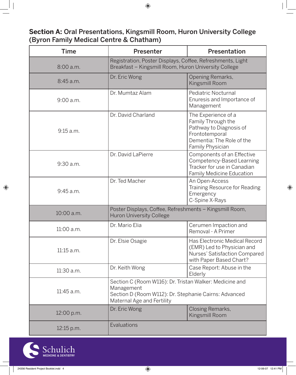**Section A:** Oral Presentations, Kingsmill Room, Huron University College (Byron Family Medical Centre & Chatham)

| <b>Time</b> | <b>Presenter</b>                                                                                                                                             | <b>Presentation</b>                                                                                                                     |
|-------------|--------------------------------------------------------------------------------------------------------------------------------------------------------------|-----------------------------------------------------------------------------------------------------------------------------------------|
| 8:00 a.m.   | Registration, Poster Displays, Coffee, Refreshments, Light<br>Breakfast - Kingsmill Room, Huron University College                                           |                                                                                                                                         |
| 8:45 a.m.   | Dr. Eric Wong                                                                                                                                                | Opening Remarks,<br>Kingsmill Room                                                                                                      |
| $9:00$ a.m. | Dr. Mumtaz Alam                                                                                                                                              | Pediatric Nocturnal<br>Enuresis and Importance of<br>Management                                                                         |
| 9:15 a.m.   | Dr. David Charland                                                                                                                                           | The Experience of a<br>Family Through the<br>Pathway to Diagnosis of<br>Frontotemporal<br>Dementia: The Role of the<br>Family Physician |
| 9:30 a.m.   | Dr. David LaPierre                                                                                                                                           | Components of an Effective<br>Competency-Based Learning<br>Tracker for use in Canadian<br><b>Family Medicine Education</b>              |
| 9:45 a.m.   | Dr. Ted Macher                                                                                                                                               | An Open-Access<br>Training Resource for Reading<br>Emergency<br>C-Spine X-Rays                                                          |
| 10:00 a.m.  | Poster Displays, Coffee, Refreshments - Kingsmill Room,<br><b>Huron University College</b>                                                                   |                                                                                                                                         |
| 11:00 a.m.  | Dr. Mario Elia                                                                                                                                               | Cerumen Impaction and<br>Removal - A Primer                                                                                             |
| 11:15 a.m.  | Dr. Elsie Osagie                                                                                                                                             | Has Electronic Medical Record<br>(EMR) Led to Physician and<br>Nurses' Satisfaction Compared<br>with Paper Based Chart?                 |
| 11:30 a.m.  | Dr. Keith Wong                                                                                                                                               | Case Report: Abuse in the<br>Elderly                                                                                                    |
| 11:45 a.m.  | Section C (Room W116): Dr. Tristan Walker: Medicine and<br>Management<br>Section D (Room W112): Dr. Stephanie Cairns: Advanced<br>Maternal Age and Fertility |                                                                                                                                         |
| 12:00 p.m.  | Dr. Eric Wong                                                                                                                                                | Closing Remarks,<br>Kingsmill Room                                                                                                      |
| 12:15 p.m.  | Evaluations                                                                                                                                                  |                                                                                                                                         |



 $\bigoplus$ 

 $\bigoplus$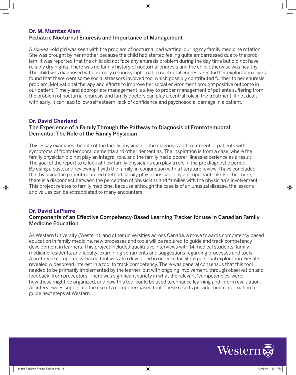#### **Dr. M. Mumtaz Alam** Pediatric Nocturnal Enuresis and Importance of Management

A six-year-old girl was seen with the problem of nocturnal bed wetting, during my family medicine rotation. She was brought by her mother because the child had started feeling quite embarrassed due to the problem. It was reported that the child did not face any enuresis problem during the day time but did not have reliably dry nights. There was no family history of nocturnal enuresis and the child otherwise was healthy. The child was diagnosed with primary (monosymptomatic) nocturnal enuresis. On further exploration it was found that there were some social stressors involved too, which possibly contributed further to her enuresis problem. Motivational therapy and efforts to improve her social environment brought positive outcome in our patient. Timely and appropriate management is a key to proper management of patients suffering from the problem of nocturnal enuresis and family doctors can play a central role in the treatment. If not dealt with early, it can lead to low self esteem, lack of confidence and psychosocial damage in a patient.

#### **Dr. David Charland**

#### The Experience of a Family Through the Pathway to Diagnosis of Frontotemporal Dementia: The Role of the Family Physician

This essay examines the role of the family physician in the diagnosis and treatment of patients with symptoms of frontotemporal dementia and other dementias. The inspiration is from a case, where the family physician did not play an integral role, and the family had a poorer illness experience as a result. The goal of the report to is look at how family physicians can play a role in the pre diagnostic period. By using a case, and reviewing it with the family, in conjunction with a literature review, I have concluded that by using the patient-centered method, family physicians can play an important role. Furthermore, there is a disconnect between the perception of physicians and families with the physician's involvement. This project relates to family medicine, because although the case is of an unusual disease, the lessons and values can be extrapolated to many encounters.

#### **Dr. David LaPierre**

⊕

#### Components of an Effective Competency-Based Learning Tracker for use in Canadian Family Medicine Education

As Western University (Western), and other universities across Canada, a move towards competency based education in family medicine, new processes and tools will be required to guide and track competency development in learners. This project included qualitative interviews with 14 medical students, family medicine residents, and faculty, examining sentiments and suggestions regarding processes and tools. A prototype competency-based tool was also developed in order to facilitate personal exploration. Results revealed widespread interest in a tool to track competency. There was general consensus that this tool needed to be primarily implemented by the learner, but with ongoing involvement, through observation and feedback, from preceptors. There was significant variety in what the relevant 'competencies' were, how these might be organized, and how this tool could be used to enhance learning and inform evaluation. All interviewees supported the use of a computer-based tool. These results provide much information to guide next steps at Western.

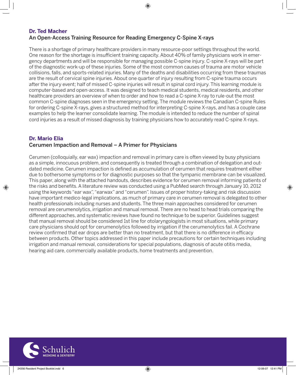#### **Dr. Ted Macher**  An Open-Access Training Resource for Reading Emergency C-Spine X-rays

There is a shortage of primary healthcare providers in many resource-poor settings throughout the world. One reason for the shortage is insufficient training capacity. About 40% of family physicians work in emergency departments and will be responsible for managing possible C-spine injury. C-spine X-rays will be part of the diagnostic work-up of these injuries. Some of the most common causes of trauma are motor vehicle collisions, falls, and sports-related injuries. Many of the deaths and disabilities occurring from these traumas are the result of cervical spine injuries. About one quarter of injury resulting from C-spine trauma occurs after the injury event; half of missed C-spine injuries will result in spinal cord injury. This learning module is computer-based and open-access. It was designed to teach medical students, medical residents, and other healthcare providers an overview of when to order and how to read a C-spine X-ray to rule-out the most common C-spine diagnoses seen in the emergency setting. The module reviews the Canadian C-spine Rules for ordering C-spine X-rays, gives a structured method for interpreting C-spine X-rays, and has a couple case examples to help the learner consolidate learning. The module is intended to reduce the number of spinal cord injuries as a result of missed diagnosis by training physicians how to accurately read C-spine X-rays.

#### **Dr. Mario Elia**

⊕

#### Cerumen Impaction and Removal – A Primer for Physicians

Cerumen (colloquially, ear wax) impaction and removal in primary care is often viewed by busy physicians as a simple, innocuous problem, and consequently is treated through a combination of delegation and outdated medicine. Cerumen impaction is defined as accumulation of cerumen that requires treatment either due to bothersome symptoms or for diagnostic purposes so that the tympanic membrane can be visualized. This paper, along with the attached handouts, describes evidence for cerumen removal informing patients of the risks and benefits. A literature review was conducted using a PubMed search through January 10, 2012 using the keywords "ear wax", "earwax" and "cerumen". Issues of proper history-taking and risk discussion have important medico-legal implications, as much of primary care in cerumen removal is delegated to other health professionals including nurses and students. The three main approaches considered for cerumen removal are cerumenolytics, irrigation and manual removal. There are no head to head trials comparing the different approaches, and systematic reviews have found no technique to be superior. Guidelines suggest that manual removal should be considered 1st line for otolaryngologists in most situations, while primary care physicians should opt for cerumenolytics followed by irrigation if the cerumenolytics fail. A Cochrane review confirmed that ear drops are better than no treatment, but that there is no difference in efficacy between products. Other topics addressed in this paper include precautions for certain techniques including irrigation and manual removal, considerations for special populations, diagnosis of acute otitis media, hearing aid care, commercially available products, home treatments and prevention.

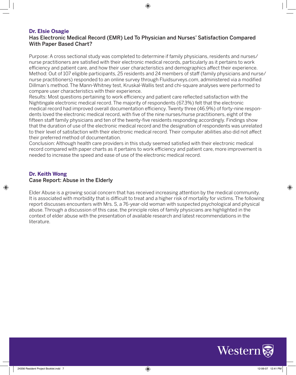#### **Dr. Elsie Osagie**

#### Has Electronic Medical Record (EMR) Led To Physician and Nurses' Satisfaction Compared With Paper Based Chart?

⊕

Purpose: A cross sectional study was completed to determine if family physicians, residents and nurses/ nurse practitioners are satisfied with their electronic medical records, particularly as it pertains to work efficiency and patient care, and how their user characteristics and demographics affect their experience. Method: Out of 107 eligible participants, 25 residents and 24 members of staff (family physicians and nurse/ nurse practitioners) responded to an online survey through Fluidsurveys.com, administered via a modified Dillman's method. The Mann-Whitney test, Kruskal-Wallis test and chi-square analyses were performed to compare user characteristics with their experience.

Results: Most questions pertaining to work efficiency and patient care reflected satisfaction with the Nightingale electronic medical record. The majority of respondents (67.3%) felt that the electronic medical record had improved overall documentation efficiency. Twenty three (46.9%) of forty-nine respondents loved the electronic medical record, with five of the nine nurses/nurse practitioners, eight of the fifteen staff family physicians and ten of the twenty-five residents responding accordingly. Findings show that the duration of use of the electronic medical record and the designation of respondents was unrelated to their level of satisfaction with their electronic medical record. Their computer abilities also did not affect their preferred method of documentation.

Conclusion: Although health care providers in this study seemed satisfied with their electronic medical record compared with paper charts as it pertains to work efficiency and patient care, more improvement is needed to increase the speed and ease of use of the electronic medical record.

#### **Dr. Keith Wong**

⊕

#### Case Report: Abuse in the Elderly

Elder Abuse is a growing social concern that has received increasing attention by the medical community. It is associated with morbidity that is difficult to treat and a higher risk of mortality for victims. The following report discusses encounters with Mrs. S, a 76-year-old woman with suspected psychological and physical abuse. Through a discussion of this case, the principle roles of family physicians are highlighted in the context of elder abuse with the presentation of available research and latest recommendations in the literature.

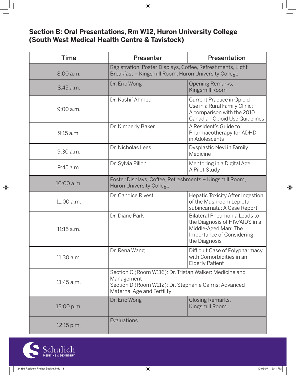# **Section B: Oral Presentations, Rm W12, Huron University College (South West Medical Health Centre & Tavistock)**

| <b>Time</b> | <b>Presenter</b>                                                                                                                                             | Presentation                                                                                                                         |
|-------------|--------------------------------------------------------------------------------------------------------------------------------------------------------------|--------------------------------------------------------------------------------------------------------------------------------------|
| 8:00 a.m.   | Registration, Poster Displays, Coffee, Refreshments, Light<br>Breakfast - Kingsmill Room, Huron University College                                           |                                                                                                                                      |
| 8:45 a.m.   | Dr. Eric Wong                                                                                                                                                | Opening Remarks,<br>Kingsmill Room                                                                                                   |
| $9:00$ a.m. | Dr. Kashif Ahmed                                                                                                                                             | Current Practice in Opioid<br>Use in a Rural Family Clinic:<br>A comparison with the 2010<br>Canadian Opioid Use Guidelines          |
| 9:15 a.m.   | Dr. Kimberly Baker                                                                                                                                           | A Resident's Guide to<br>Pharmacotherapy for ADHD<br>in Adolescents                                                                  |
| 9:30 a.m.   | Dr. Nicholas Lees                                                                                                                                            | Dysplastic Nevi in Family<br>Medicine                                                                                                |
| 9:45 a.m.   | Dr. Sylvia Pillon                                                                                                                                            | Mentoring in a Digital Age:<br>A Pilot Study                                                                                         |
| 10:00 a.m.  | Poster Displays, Coffee, Refreshments - Kingsmill Room,<br><b>Huron University College</b>                                                                   |                                                                                                                                      |
| 11:00 a.m.  | Dr. Candice Rivest                                                                                                                                           | Hepatic Toxicity After Ingestion<br>of the Mushroom Lepiota<br>subincarnata: A Case Report                                           |
| 11:15 a.m.  | Dr. Diane Park                                                                                                                                               | Bilateral Pneumonia Leads to<br>the Diagnosis of HIV/AIDS in a<br>Middle-Aged Man: The<br>Importance of Considering<br>the Diagnosis |
| 11:30 a.m.  | Dr. Rena Wang                                                                                                                                                | Difficult Case of Polypharmacy<br>with Comorbidities in an<br><b>Elderly Patient</b>                                                 |
| 11:45 a.m.  | Section C (Room W116): Dr. Tristan Walker: Medicine and<br>Management<br>Section D (Room W112): Dr. Stephanie Cairns: Advanced<br>Maternal Age and Fertility |                                                                                                                                      |
| 12:00 p.m.  | Dr. Eric Wong                                                                                                                                                | Closing Remarks,<br>Kingsmill Room                                                                                                   |
| 12:15 p.m.  | Evaluations                                                                                                                                                  |                                                                                                                                      |



 $\bigoplus$ 

 $\bigoplus$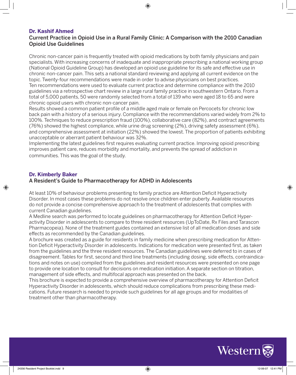#### **Dr. Kashif Ahmed**

#### Current Practice in Opioid Use in a Rural Family Clinic: A Comparison with the 2010 Canadian Opioid Use Guidelines

⊕

Chronic non-cancer pain is frequently treated with opioid medications by both family physicians and pain specialists. With increasing concerns of inadequate and inappropriate prescribing a national working group (National Opioid Guideline Group) has developed an opioid use guideline for its safe and effective use in chronic non-cancer pain. This sets a national standard reviewing and applying all current evidence on the topic. Twenty-four recommendations were made in order to advise physicians on best practices. Ten recommendations were used to evaluate current practice and determine compliance with the 2010 guidelines via a retrospective chart review in a large rural family practice in southwestern Ontario. From a total of 5,000 patients, 50 were randomly selected from a total of 139 who were aged 18 to 65 and were chronic opioid users with chronic non-cancer pain.

Results showed a common patient profile of a middle aged male or female on Percocets for chronic low back pain with a history of a serious injury. Compliance with the recommendations varied widely from 2% to 100%. Techniques to reduce prescription fraud (100%), collaborative care (82%), and contract agreements (76%) showed the highest compliance, while urine drug screening (2%), driving safety assessment (6%), and comprehensive assessment at initiation (22%) showed the lowest. The proportion of patients exhibiting unacceptable or aberrant patient behaviour was 32%.

Implementing the latest guidelines first requires evaluating current practice. Improving opioid prescribing improves patient care, reduces morbidity and mortality, and prevents the spread of addiction in communities. This was the goal of the study.

#### **Dr. Kimberly Baker**

#### A Resident's Guide to Pharmacotherapy for ADHD in Adolescents

At least 10% of behaviour problems presenting to family practice are Attention Deficit Hyperactivity Disorder. In most cases these problems do not resolve once children enter puberty. Available resources do not provide a concise comprehensive approach to the treatment of adolescents that complies with current Canadian guidelines.

A Medline search was performed to locate guidelines on pharmacotherapy for Attention Deficit Hyperactivity Disorder in adolescents to compare to three resident resources (UpToDate, Rx Files and Tarascon Pharmacopeia). None of the treatment guides contained an extensive list of all medication doses and side effects as recommended by the Canadian guidelines.

A brochure was created as a guide for residents in family medicine when prescribing medication for Attention Deficit Hyperactivity Disorder in adolescents. Indications for medication were presented first, as taken from the guidelines and the three resident resources. The Canadian guidelines were deferred to in cases of disagreement. Tables for first, second and third line treatments (including dosing, side effects, contraindications and notes on use) compiled from the guidelines and resident resources were presented on one page to provide one location to consult for decisions on medication initiation. A separate section on titration, management of side effects, and multifocal approach was presented on the back.

This brochure is expected to provide a comprehensive overview of pharmacotherapy for Attention Deficit Hyperactivity Disorder in adolescents, which should reduce complications from prescribing these medications. Future research is needed to provide such guidelines for all age groups and for modalities of treatment other than pharmacotherapy.



↔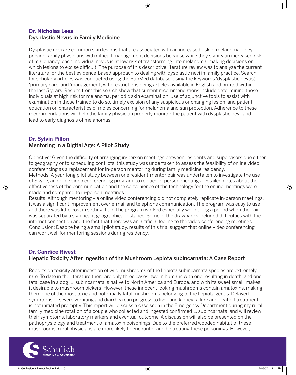#### **Dr. Nicholas Lees** Dysplastic Nevus in Family Medicine

Dysplastic nevi are common skin lesions that are associated with an increased risk of melanoma. They provide family physicians with difficult management decisions because while they signify an increased risk of malignancy, each individual nevus is at low risk of transforming into melanoma, making decisions on which lesions to excise difficult. The purpose of this descriptive literature review was to analyze the current literature for the best evidence-based approach to dealing with dysplastic nevi in family practice. Search for scholarly articles was conducted using the PubMed database, using the keywords 'dysplastic nevus', 'primary care' and 'management', with restrictions being articles available in English and printed within the last 5 years. Results from this search show that current recommendations include determining those individuals at high risk for melanoma, periodic skin examination, use of adjunctive tools to assist with examination in those trained to do so, timely excision of any suspicious or changing lesion, and patient education on characteristics of moles concerning for melanoma and sun protection. Adherence to these recommendations will help the family physician properly monitor the patient with dysplastic nevi, and lead to early diagnosis of melanomas.

#### **Dr. Sylvia Pillon** Mentoring in a Digital Age: A Pilot Study

Objective: Given the difficulty of arranging in-person meetings between residents and supervisors due either to geography or to scheduling conflicts, this study was undertaken to assess the feasibility of online video conferencing as a replacement for in-person mentoring during family medicine residency. Methods: A year-long pilot study between one resident-mentor pair was undertaken to investigate the use

of Skype, an online video conferencing program, to replace in-person meetings. Detailed notes about the effectiveness of the communication and the convenience of the technology for the online meetings were made and compared to in-person meetings.

Results: Although mentoring via online video conferencing did not completely replicate in-person meetings, it was a significant improvement over e-mail and telephone communication. The program was easy to use and there was little cost in setting it up. The program worked especially well during a period when the pair was separated by a significant geographical distance. Some of the drawbacks included difficulties with the internet connection and the fact that there was an artificial feeling to the video conferencing meetings. Conclusion: Despite being a small pilot study, results of this trial suggest that online video conferencing can work well for mentoring sessions during residency.

#### **Dr. Candice Rivest**

⊕

#### Hepatic Toxicity After Ingestion of the Mushroom Lepiota subincarnata: A Case Report

Reports on toxicity after ingestion of wild mushrooms of the Lepiota subincarnata species are extremely rare. To date in the literature there are only three cases, two in humans with one resulting in death, and one fatal case in a dog. L. subincarnata is native to North America and Europe, and with its sweet smell, makes it desirable to mushroom pickers. However, these innocent looking mushrooms contain amatoxins, making them one of the most toxic and potentially fatal mushrooms belonging to the Lepiota genus. Delayed symptoms of severe vomiting and diarrhea can progress to liver and kidney failure and death if treatment is not initiated promptly. This report will discuss a case seen in the Emergency Department during my rural family medicine rotation of a couple who collected and ingested confirmed L. subincarnata, and will review their symptoms, laboratory markers and eventual outcome. A discussion will also be presented on the pathophysiology and treatment of amatoxin poisonings. Due to the preferred wooded habitat of these mushrooms, rural physicians are more likely to encounter and be treating these poisonings. However,

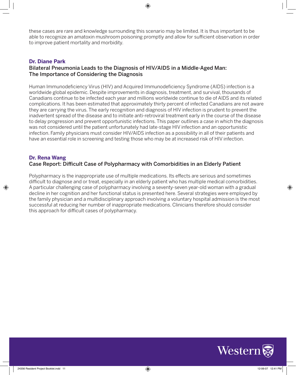these cases are rare and knowledge surrounding this scenario may be limited. It is thus important to be able to recognize an amatoxin mushroom poisoning promptly and allow for sufficient observation in order to improve patient mortality and morbidity.

⊕

#### **Dr. Diane Park**

#### Bilateral Pneumonia Leads to the Diagnosis of HIV/AIDS in a Middle-Aged Man: The Importance of Considering the Diagnosis

Human Immunodeficiency Virus (HIV) and Acquired Immunodeficiency Syndrome (AIDS) infection is a worldwide global epidemic. Despite improvements in diagnosis, treatment, and survival, thousands of Canadians continue to be infected each year and millions worldwide continue to die of AIDS and its related complications. It has been estimated that approximately thirty percent of infected Canadians are not aware they are carrying the virus. The early recognition and diagnosis of HIV infection is prudent to prevent the inadvertent spread of the disease and to initiate anti-retroviral treatment early in the course of the disease to delay progression and prevent opportunistic infections. This paper outlines a case in which the diagnosis was not considered until the patient unfortunately had late-stage HIV infection and an opportunistic infection. Family physicians must consider HIV/AIDS infection as a possibility in all of their patients and have an essential role in screening and testing those who may be at increased risk of HIV infection.

#### **Dr. Rena Wang**

⊕

#### Case Report: Difficult Case of Polypharmacy with Comorbidities in an Elderly Patient

Polypharmacy is the inappropriate use of multiple medications. Its effects are serious and sometimes difficult to diagnose and or treat, especially in an elderly patient who has multiple medical comorbidities. A particular challenging case of polypharmacy involving a seventy-seven year-old woman with a gradual decline in her cognition and her functional status is presented here. Several strategies were employed by the family physician and a multidisciplinary approach involving a voluntary hospital admission is the most successful at reducing her number of inappropriate medications. Clinicians therefore should consider this approach for difficult cases of polypharmacy.

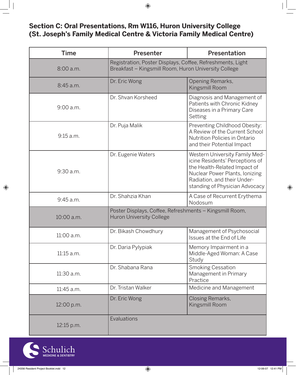$\bigoplus$ 

# **Section C: Oral Presentations, Rm W116, Huron University College (St. Joseph's Family Medical Centre & Victoria Family Medical Centre)**

| <b>Time</b>  | <b>Presenter</b>                                                                                                   | Presentation                                                                                                                                                                                         |
|--------------|--------------------------------------------------------------------------------------------------------------------|------------------------------------------------------------------------------------------------------------------------------------------------------------------------------------------------------|
| 8:00 a.m.    | Registration, Poster Displays, Coffee, Refreshments, Light<br>Breakfast - Kingsmill Room, Huron University College |                                                                                                                                                                                                      |
| 8:45 a.m.    | Dr. Eric Wong                                                                                                      | Opening Remarks,<br>Kingsmill Room                                                                                                                                                                   |
| 9:00 a.m.    | Dr. Shvan Korsheed                                                                                                 | Diagnosis and Management of<br>Patients with Chronic Kidney<br>Diseases in a Primary Care<br>Setting                                                                                                 |
| 9:15 a.m.    | Dr. Puja Malik                                                                                                     | Preventing Childhood Obesity:<br>A Review of the Current School<br>Nutrition Policies in Ontario<br>and their Potential Impact                                                                       |
| $9:30$ a.m.  | Dr. Eugenie Waters                                                                                                 | Western University Family Med-<br>icine Residents' Perceptions of<br>the Health-Related Impact of<br>Nuclear Power Plants, Ionizing<br>Radiation, and their Under-<br>standing of Physician Advocacy |
| $9:45$ a.m.  | Dr. Shahzia Khan                                                                                                   | A Case of Recurrent Erythema<br>Nodosum                                                                                                                                                              |
| 10:00 a.m.   | Poster Displays, Coffee, Refreshments - Kingsmill Room,<br><b>Huron University College</b>                         |                                                                                                                                                                                                      |
| 11:00 a.m.   | Dr. Bikash Chowdhury                                                                                               | Management of Psychosocial<br>Issues at the End of Life                                                                                                                                              |
| $11:15$ a.m. | Dr. Daria Pylypiak                                                                                                 | Memory Impairment in a<br>Middle-Aged Woman: A Case<br>Study                                                                                                                                         |
| 11:30 a.m.   | Dr. Shabana Rana                                                                                                   | <b>Smoking Cessation</b><br>Management in Primary<br>Practice                                                                                                                                        |
| $11:45$ a.m. | Dr. Tristan Walker                                                                                                 | Medicine and Management                                                                                                                                                                              |
| 12:00 p.m.   | Dr. Eric Wong                                                                                                      | Closing Remarks,<br>Kingsmill Room                                                                                                                                                                   |
| 12:15 p.m.   | Evaluations                                                                                                        |                                                                                                                                                                                                      |



 $\bigoplus$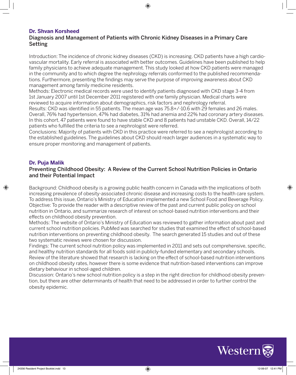#### **Dr. Shvan Korsheed**

#### Diagnosis and Management of Patients with Chronic Kidney Diseases in a Primary Care Setting

Introduction: The incidence of chronic kidney diseases (CKD) is increasing. CKD patients have a high cardiovascular mortality. Early referral is associated with better outcomes. Guidelines have been published to help family physicians to achieve adequate management. This study looked at how CKD patients were managed in the community and to which degree the nephrology referrals conformed to the published recommendations. Furthermore, presenting the findings may serve the purpose of improving awareness about CKD management among family medicine residents.

⊕

Methods: Electronic medical records were used to identify patients diagnosed with CKD stage 3-4 from 1st January 2007 until 1st December 2011 registered with one family physician. Medical charts were reviewed to acquire information about demographics, risk factors and nephrology referral.

Results: CKD was identified in 55 patients. The mean age was 75.8+/-10.6 with 29 females and 26 males. Overall, 76% had hypertension, 47% had diabetes, 31% had anemia and 22% had coronary artery diseases. In this cohort, 47 patients were found to have stable CKD and 8 patients had unstable CKD. Overall, 14/22 patients who fulfilled the criteria to see a nephrologist were referred.

Conclusions: Majority of patients with CKD in this practice were referred to see a nephrologist according to the established guidelines. The guidelines about CKD should reach larger audiences in a systematic way to ensure proper monitoring and management of patients.

#### **Dr. Puja Malik**

#### Preventing Childhood Obesity: A Review of the Current School Nutrition Policies in Ontario and their Potential Impact

Background: Childhood obesity is a growing public health concern in Canada with the implications of both increasing prevalence of obesity-associated chronic disease and increasing costs to the health care system. To address this issue, Ontario's Ministry of Education implemented a new School Food and Beverage Policy. Objective: To provide the reader with a descriptive review of the past and current public policy on school nutrition in Ontario, and summarize research of interest on school-based nutrition interventions and their effects on childhood obesity prevention.

Methods: The website of Ontario's Ministry of Education was reviewed to gather information about past and current school nutrition policies. PubMed was searched for studies that examined the effect of school-based nutrition interventions on preventing childhood obesity. The search generated 15 studies and out of these two systematic reviews were chosen for discussion.

Findings: The current school nutrition policy was implemented in 2011 and sets out comprehensive, specific, and healthy nutrition standards for all foods sold in publicly-funded elementary and secondary schools. Review of the literature showed that research is lacking on the effect of school-based nutrition interventions on childhood obesity rates, however there is some evidence that nutrition-based interventions can improve dietary behaviour in school-aged children.

Discussion: Ontario's new school nutrition policy is a step in the right direction for childhood obesity prevention, but there are other determinants of health that need to be addressed in order to further control the obesity epidemic.



⊕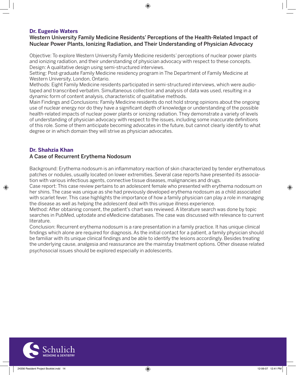#### **Dr. Eugenie Waters**

#### Western University Family Medicine Residents' Perceptions of the Health-Related Impact of Nuclear Power Plants, Ionizing Radiation, and Their Understanding of Physician Advocacy

⊕

Objective: To explore Western University Family Medicine residents' perceptions of nuclear power plants and ionizing radiation, and their understanding of physician advocacy with respect to these concepts. Design: A qualitative design using semi-structured interviews.

Setting: Post-graduate Family Medicine residency program in The Department of Family Medicine at Western University, London, Ontario.

Methods: Eight Family Medicine residents participated in semi-structured interviews, which were audiotaped and transcribed verbatim. Simultaneous collection and analysis of data was used, resulting in a dynamic form of content analysis, characteristic of qualitative methods.

Main Findings and Conclusions: Family Medicine residents do not hold strong opinions about the ongoing use of nuclear energy nor do they have a significant depth of knowledge or understanding of the possible health-related impacts of nuclear power plants or ionizing radiation. They demonstrate a variety of levels of understanding of physician advocacy with respect to the issues, including some inaccurate definitions of this role. Some of them anticipate becoming advocates in the future, but cannot clearly identify to what degree or in which domain they will strive as physician advocates.

#### **Dr. Shahzia Khan**

⊕

#### A Case of Recurrent Erythema Nodosum

Background: Erythema nodosum is an inflammatory reaction of skin characterized by tender erythematous patches or nodules, usually located on lower extremities. Several case reports have presented its association with various infectious agents, connective tissue diseases, malignancies and drugs.

Case report: This case review pertains to an adolescent female who presented with erythema nodosum on her shins. The case was unique as she had previously developed erythema nodosum as a child associated with scarlet fever. This case highlights the importance of how a family physician can play a role in managing the disease as well as helping the adolescent deal with this unique illness experience.

Method: After obtaining consent, the patient's chart was reviewed. A literature search was done by topic searches in PubMed, uptodate and eMedicine databases. The case was discussed with relevance to current literature.

Conclusion: Recurrent erythema nodosum is a rare presentation in a family practice. It has unique clinical findings which alone are required for diagnosis. As the initial contact for a patient, a family physician should be familiar with its unique clinical findings and be able to identify the lesions accordingly. Besides treating the underlying cause, analgesia and reassurance are the mainstay treatment options. Other disease related psychosocial issues should be explored especially in adolescents.

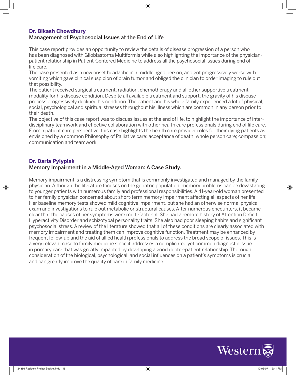#### **Dr. Bikash Chowdhury**

#### Management of Psychosocial Issues at the End of Life

This case report provides an opportunity to review the details of disease progression of a person who has been diagnosed with Glioblastoma Multiformis while also highlighting the importance of the physicianpatient relationship in Patient-Centered Medicine to address all the psychosocial issues during end of life care.

⊕

The case presented as a new onset headache in a middle aged person, and got progressively worse with vomiting which gave clinical suspicion of brain tumor and obliged the clinician to order imaging to rule out that possibility.

The patient received surgical treatment, radiation, chemotherapy and all other supportive treatment modality for his disease condition. Despite all available treatment and support, the gravity of his disease process progressively declined his condition. The patient and his whole family experienced a lot of physical, social, psychological and spiritual stresses throughout his illness which are common in any person prior to their death.

The objective of this case report was to discuss issues at the end of life, to highlight the importance of interdisciplinary teamwork and effective collaboration with other health care professionals during end of life care. From a patient care perspective, this case highlights the health care provider roles for their dying patients as envisioned by a common Philosophy of Palliative care: acceptance of death; whole person care; compassion; communication and teamwork.

#### **Dr. Daria Pylypiak**

⊕

#### Memory Impairment in a Middle-Aged Woman: A Case Study.

Memory impairment is a distressing symptom that is commonly investigated and managed by the family physician. Although the literature focuses on the geriatric population, memory problems can be devastating to younger patients with numerous family and professional responsibilities. A 41-year-old woman presented to her family physician concerned about short-term memory impairment affecting all aspects of her life. Her baseline memory tests showed mild cognitive impairment, but she had an otherwise normal physical exam and investigations to rule out metabolic or structural causes. After numerous encounters, it became clear that the causes of her symptoms were multi-factorial. She had a remote history of Attention Deficit Hyperactivity Disorder and schizotypal personality traits. She also had poor sleeping habits and significant psychosocial stress. A review of the literature showed that all of these conditions are clearly associated with memory impairment and treating them can improve cognitive function. Treatment may be enhanced by frequent follow-up and the aid of allied health professionals to address the broad scope of issues. This is a very relevant case to family medicine since it addresses a complicated yet common diagnostic issue in primary care that was greatly impacted by developing a good doctor-patient relationship. Thorough consideration of the biological, psychological, and social influences on a patient's symptoms is crucial and can greatly improve the quality of care in family medicine.

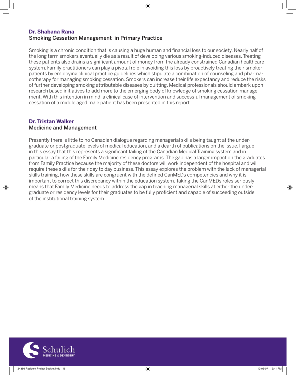#### **Dr. Shabana Rana**  Smoking Cessation Management in Primary Practice

Smoking is a chronic condition that is causing a huge human and financial loss to our society. Nearly half of the long term smokers eventually die as a result of developing various smoking-induced diseases. Treating these patients also drains a significant amount of money from the already constrained Canadian healthcare system. Family practitioners can play a pivotal role in avoiding this loss by proactively treating their smoker patients by employing clinical practice guidelines which stipulate a combination of counseling and pharmacotherapy for managing smoking cessation. Smokers can increase their life expectancy and reduce the risks of further developing smoking attributable diseases by quitting. Medical professionals should embark upon research based initiatives to add more to the emerging body of knowledge of smoking cessation management. With this intention in mind, a clinical case of intervention and successful management of smoking cessation of a middle aged male patient has been presented in this report.

#### **Dr. Tristan Walker** Medicine and Management

⊕

Presently there is little to no Canadian dialogue regarding managerial skills being taught at the undergraduate or postgraduate levels of medical education, and a dearth of publications on the issue. I argue in this essay that this represents a significant failing of the Canadian Medical Training system and in particular a failing of the Family Medicine residency programs. The gap has a larger impact on the graduates from Family Practice because the majority of these doctors will work independent of the hospital and will require these skills for their day to day business. This essay explores the problem with the lack of managerial skills training, how these skills are congruent with the defined CanMEDs competencies and why it is important to correct this discrepancy within the education system. Taking the CanMEDs roles seriously means that Family Medicine needs to address the gap in teaching managerial skills at either the undergraduate or residency levels for their graduates to be fully proficient and capable of succeeding outside of the institutional training system.

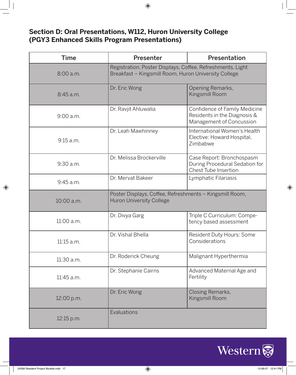# **Section D: Oral Presentations, W112, Huron University College (PGY3 Enhanced Skills Program Presentations)**

| <b>Time</b>  | <b>Presenter</b>                                                                                                   | Presentation                                                                               |
|--------------|--------------------------------------------------------------------------------------------------------------------|--------------------------------------------------------------------------------------------|
| 8:00a.m.     | Registration, Poster Displays, Coffee, Refreshments, Light<br>Breakfast - Kingsmill Room, Huron University College |                                                                                            |
| 8:45 a.m.    | Dr. Eric Wong                                                                                                      | Opening Remarks,<br>Kingsmill Room                                                         |
| $9:00$ a.m.  | Dr. Ravjit Ahluwalia                                                                                               | Confidence of Family Medicine<br>Residents in the Diagnosis &<br>Management of Concussion  |
| 9:15 a.m.    | Dr. Leah Mawhinney                                                                                                 | International Women's Health<br>Elective: Howard Hospital,<br>Zimbabwe                     |
| 9:30 a.m.    | Dr. Melissa Brockerville                                                                                           | Case Report: Bronchospasm<br>During Procedural Sedation for<br><b>Chest Tube Insertion</b> |
| 9:45 a.m.    | Dr. Mervat Bakeer                                                                                                  | Lymphatic Filariasis                                                                       |
| 10:00 a.m.   | Poster Displays, Coffee, Refreshments - Kingsmill Room,<br><b>Huron University College</b>                         |                                                                                            |
| 11:00 a.m.   | Dr. Divya Garg                                                                                                     | Triple C Curriculum: Compe-<br>tency based assessment                                      |
| $11:15$ a.m. | Dr. Vishal Bhella                                                                                                  | Resident Duty Hours: Some<br>Considerations                                                |
| 11:30 a.m.   | Dr. Roderick Cheung                                                                                                | Malignant Hyperthermia                                                                     |
| 11:45 a.m.   | Dr. Stephanie Cairns                                                                                               | Advanced Maternal Age and<br>Fertility                                                     |
| 12:00 p.m.   | Dr. Eric Wong                                                                                                      | Closing Remarks,<br>Kingsmill Room                                                         |
| 12:15 p.m.   | Evaluations                                                                                                        |                                                                                            |



 $\bigoplus$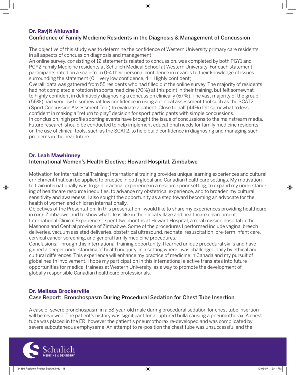#### **Dr. Ravjit Ahluwalia**

#### Confidence of Family Medicine Residents in the Diagnosis & Management of Concussion

The objective of this study was to determine the confidence of Western University primary care residents in all aspects of concussion diagnosis and management.

⊕

An online survey, consisting of 12 statements related to concussion, was completed by both PGY1 and PGY2 Family Medicine residents at Schulich Medical School at Western University. For each statement, participants rated on a scale from 0-4 their personal confidence in regards to their knowledge of issues surrounding the statement ( $0 = \text{very low confidence}, 4 = \text{Highly confident}$ )

Overall, data was gathered from 55 residents who had filled out the online survey. The majority of residents had not completed a rotation in sports medicine (70%) at this point in their training, but felt somewhat to highly confident in definitively diagnosing a concussion clinically (67%). The vast majority of the group (56%) had very low to somewhat low confidence in using a clinical assessment tool such as the SCAT2 (Sport Concussion Assessment Tool) to evaluate a patient. Close to half (44%) felt somewhat to less confident in making a "return to play" decision for sport participants with simple concussions. In conclusion, high profile sporting events have brought the issue of concussions to the mainstream media. Future research should be conducted to help implement educational needs for family medicine residents on the use of clinical tools, such as the SCAT2, to help build confidence in diagnosing and managing such problems in the near future.

### **Dr. Leah Mawhinney**

#### International Women's Health Elective: Howard Hospital, Zimbabwe

Motivation for International Training: International training provides unique learning experiences and cultural enrichment that can be applied to practice in both global and Canadian healthcare settings. My motivation to train internationally was to gain practical experience in a resource poor setting, to expand my understanding of healthcare resource inequities, to advance my obstetrical experience, and to broaden my cultural sensitivity and awareness. I also sought the opportunity as a step toward becoming an advocate for the health of women and children internationally.

Objectives of the Presentation: In this presentation I would like to share my experiences providing healthcare in rural Zimbabwe, and to show what life is like in their local village and healthcare environment. International Clinical Experience: I spent two months at Howard Hospital, a rural mission hospital in the Mashonaland Central province of Zimbabwe. Some of the procedures I performed include vaginal breech deliveries, vacuum assisted deliveries, obstetrical ultrasound, neonatal resuscitation, pre-term infant care, cervical cancer screening, and general family medicine procedures.

Conclusions: Through this international training opportunity, I learned unique procedural skills and have gained a deeper understanding of health inequity, in a setting where I was challenged daily by ethical and cultural differences. This experience will enhance my practice of medicine in Canada and my pursuit of global health involvement. I hope my participation in this international elective translates into future opportunities for medical trainees at Western University, as a way to promote the development of globally responsible Canadian healthcare professionals.

#### **Dr. Melissa Brockerville**  Case Report: Bronchospasm During Procedural Sedation for Chest Tube Insertion

A case of severe bronchospasm in a 58-year-old male during procedural sedation for chest tube insertion will be reviewed. The patient's history was significant for a ruptured bulla causing a pneumothorax. A chest tube was placed in the ER; however the patient's pneumothorax re-developed and was complicated by severe subcutaneous emphysema. An attempt to re-position the chest tube was unsuccessful and the



⊕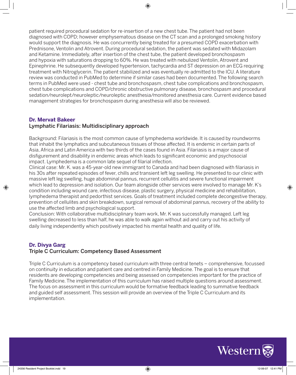patient required procedural sedation for re-insertion of a new chest tube. The patient had not been diagnosed with COPD; however emphysematous disease on the CT scan and a prolonged smoking history would support the diagnosis. He was concurrently being treated for a presumed COPD exacerbation with Prednisone, Ventolin and Atrovent. During procedural sedation, the patient was sedated with Midazolam and Ketamine. Immediately, after insertion of the chest tube, the patient developed bronchospasm and hypoxia with saturations dropping to 60%. He was treated with nebulized Ventolin, Atrovent and Epinephrine. He subsequently developed hypertension, tachycardia and ST depression on an ECG requiring treatment with Nitroglycerin. The patient stabilized and was eventually re-admitted to the ICU. A literature review was conducted in PubMed to determine if similar cases had been documented. The following search terms in PubMed were used - chest tube and bronchospasm, chest tube complications and bronchospasm, chest tube complications and COPD/chronic obstructive pulmonary disease, bronchospasm and procedural sedation/neurolept/neuroleptic/neuroleptic anesthesia/monitored anesthesia care. Current evidence based management strategies for bronchospasm during anesthesia will also be reviewed.

#### **Dr. Mervat Bakeer**

⊕

#### Lymphatic Filariasis: Multidisciplinary approach

Background: Filariasis is the most common cause of lymphedema worldwide. It is caused by roundworms that inhabit the lymphatics and subcutaneous tissues of those affected. It is endemic in certain parts of Asia, Africa and Latin America with two thirds of the cases found in Asia. Filariasis is a major cause of disfigurement and disability in endemic areas which leads to significant economic and psychosocial impact. Lymphedema is a common late sequel of filarial infection.

Clinical case: Mr. K. was a 45-year-old new immigrant to Canada and had been diagnosed with filariasis in his 30s after repeated episodes of fever, chills and transient left leg swelling. He presented to our clinic with massive left leg swelling, huge abdominal pannus, recurrent cellulitis and severe functional impairment which lead to depression and isolation. Our team alongside other services were involved to manage Mr. K's condition including wound care, infectious disease, plastic surgery, physical medicine and rehabilitation, lymphedema therapist and pedorthist services. Goals of treatment included complete decongestive therapy, prevention of cellulites and skin breakdown, surgical removal of abdominal pannus, recovery of the ability to use the affected limb and psychological support.

Conclusion: With collaborative multidisciplinary team work, Mr. K was successfully managed. Left leg swelling decreased to less than half, he was able to walk again without aid and carry out his activity of daily living independently which positively impacted his mental health and quality of life.

#### **Dr. Divya Garg** Triple C Curriculum: Competency Based Assessment

Triple C Curriculum is a competency based curriculum with three central tenets – comprehensive, focussed on continuity in education and patient care and centred in Family Medicine. The goal is to ensure that residents are developing competencies and being assessed on competencies important for the practice of Family Medicine. The implementation of this curriculum has raised multiple questions around assessment. The focus on assessment in this curriculum would be formative feedback leading to summative feedback and guided self assessment. This session will provide an overview of the Triple C Curriculum and its implementation.

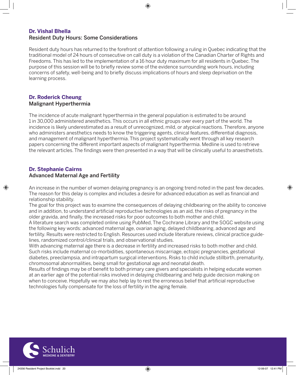# **Dr. Vishal Bhella**

Resident Duty Hours: Some Considerations

Resident duty hours has returned to the forefront of attention following a ruling in Quebec indicating that the traditional model of 24 hours of consecutive on call duty is a violation of the Canadian Charter of Rights and Freedoms. This has led to the implementation of a 16 hour duty maximum for all residents in Quebec. The purpose of this session will be to briefly review some of the evidence surrounding work hours, including concerns of safety, well-being and to briefly discuss implications of hours and sleep deprivation on the learning process.

⊕

#### **Dr. Roderick Cheung** Malignant Hyperthermia

The incidence of acute malignant hyperthermia in the general population is estimated to be around 1 in 30,000 administered anesthetics. This occurs in all ethnic groups over every part of the world. The incidence is likely underestimated as a result of unrecognized, mild, or atypical reactions. Therefore, anyone who administers anesthetics needs to know the triggering agents, clinical features, differential diagnosis, and management of malignant hyperthermia. This project systematically went through all key research papers concerning the different important aspects of malignant hyperthermia. Medline is used to retrieve the relevant articles. The findings were then presented in a way that will be clinically useful to anaesthetists.

#### **Dr. Stephanie Cairns**

⊕

#### Advanced Maternal Age and Fertility

An increase in the number of women delaying pregnancy is an ongoing trend noted in the past few decades. The reason for this delay is complex and includes a desire for advanced education as well as financial and relationship stability.

The goal for this project was to examine the consequences of delaying childbearing on the ability to conceive and in addition, to understand artificial reproductive technologies as an aid, the risks of pregnancy in the older gravida, and finally, the increased risks for poor outcomes to both mother and child.

A literature search was completed online using PubMed, The Cochrane Library and the SOGC website using the following key words: advanced maternal age, ovarian aging, delayed childbearing, advanced age and fertility. Results were restricted to English. Resources used include literature reviews, clinical practice guidelines, randomized control/clinical trials, and observational studies.

With advancing maternal age there is a decrease in fertility and increased risks to both mother and child. Such risks include maternal co-morbidities, spontaneous miscarriage, ectopic pregnancies, gestational diabetes, preeclampsia, and intrapartum surgical interventions. Risks to child include stillbirth, prematurity, chromosomal abnormalities, being small for gestational age and neonatal death.

Results of findings may be of benefit to both primary care givers and specialists in helping educate women at an earlier age of the potential risks involved in delaying childbearing and help guide decision making on when to conceive. Hopefully we may also help lay to rest the erroneous belief that artificial reproductive technologies fully compensate for the loss of fertility in the aging female.

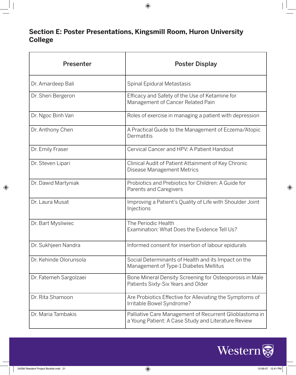# **Section E: Poster Presentations, Kingsmill Room, Huron University College**

| <b>Presenter</b>       | <b>Poster Display</b>                                                                                          |
|------------------------|----------------------------------------------------------------------------------------------------------------|
| Dr. Amardeep Bali      | Spinal Epidural Metastasis                                                                                     |
| Dr. Sheri Bergeron     | Efficacy and Safety of the Use of Ketamine for<br>Management of Cancer Related Pain                            |
| Dr. Ngoc Binh Van      | Roles of exercise in managing a patient with depression                                                        |
| Dr. Anthony Chen       | A Practical Guide to the Management of Eczema/Atopic<br>Dermatitis                                             |
| Dr. Emily Fraser       | Cervical Cancer and HPV: A Patient Handout                                                                     |
| Dr. Steven Lipari      | Clinical Audit of Patient Attainment of Key Chronic<br>Disease Management Metrics                              |
| Dr. Dawid Martyniak    | Probiotics and Prebiotics for Children: A Guide for<br>Parents and Caregivers                                  |
| Dr. Laura Musat        | Improving a Patient's Quality of Life with Shoulder Joint<br>Injections                                        |
| Dr. Bart Mysliwiec     | The Periodic Health<br>Examination: What Does the Evidence Tell Us?                                            |
| Dr. Sukhjeen Nandra    | Informed consent for insertion of labour epidurals                                                             |
| Dr. Kehinde Olorunsola | Social Determinants of Health and its Impact on the<br>Management of Type-1 Diabetes Mellitus                  |
| Dr. Fatemeh Sargolzaei | Bone Mineral Density Screening for Osteoporosis in Male<br>Patients Sixty-Six Years and Older                  |
| Dr. Rita Shamoon       | Are Probiotics Effective for Alleviating the Symptoms of<br>Irritable Bowel Syndrome?                          |
| Dr. Maria Tambakis     | Palliative Care Management of Recurrent Glioblastoma in<br>a Young Patient: A Case Study and Literature Review |



 $\bigoplus$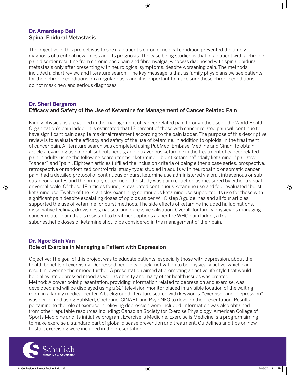#### **Dr. Amardeep Bali** Spinal Epidural Metastasis

The objective of this project was to see if a patient's chronic medical condition prevented the timely diagnosis of a critical new illness and its prognosis. The case being studied is that of a patient with a chronic pain disorder resulting from chronic back pain and fibromyalgia, who was diagnosed with spinal epidural metastasis only after presenting with neurological symptoms, despite worsening pain. The methods included a chart review and literature search. The key message is that as family physicians we see patients for their chronic conditions on a regular basis and it is important to make sure these chronic conditions do not mask new and serious diagnoses.

⊕

#### **Dr. Sheri Bergeron** Efficacy and Safety of the Use of Ketamine for Management of Cancer Related Pain

Family physicians are guided in the management of cancer related pain through the use of the World Health Organization's pain ladder. It is estimated that 12 percent of those with cancer related pain will continue to have significant pain despite maximal treatment according to the pain ladder. The purpose of this descriptive review is to evaluate the efficacy and safety of the use of ketamine, in addition to opioids, in the treatment of cancer pain. A literature search was completed using PubMed, Embase, Medline and Cinahl to obtain articles regarding use of oral, subcutaneous, and intravenous ketamine in the treatment of cancer related pain in adults using the following search terms: "ketamine", "burst ketamine", "daily ketamine", "palliative", "cancer", and "pain". Eighteen articles fulfilled the inclusion criteria of being either a case series, prospective, retrospective or randomized control trial study type; studied in adults with neuropathic or somatic cancer pain; had a detailed protocol of continuous or burst ketamine use administered via oral, intravenous or subcutaneous routes and the primary outcome of the study was pain reduction as measured by either a visual or verbal scale. Of these 18 articles found, 14 evaluated continuous ketamine use and four evaluated "burst" ketamine use. Twelve of the 14 articles examining continuous ketamine use supported its use for those with significant pain despite escalating doses of opioids as per WHO step 3 guidelines and all four articles supported the use of ketamine for burst methods. The side effects of ketamine included hallucinations, dissociative feelings, drowsiness, nausea, and excessive salivation. Overall, for family physicians managing cancer related pain that is resistant to treatment options as per the WHO pain ladder, a trial of subanesthetic doses of ketamine should be considered in the management of their pain.

#### **Dr. Ngoc Binh Van** Role of Exercise in Managing a Patient with Depression

Objective: The goal of this project was to educate patients, especially those with depression, about the health benefits of exercising. Depressed people can lack motivation to be physically active, which can result in lowering their mood further. A presentation aimed at promoting an active life style that would help alleviate depressed mood as well as obesity and many other health issues was created. Method: A power point presentation, providing information related to depression and exercise, was developed and will be displayed using a 32" television monitor placed in a visible location of the waiting room in a family medical center. A background literature search with keywords: "exercise" and "depression" was performed using PubMed, Cochrane, CINAHL and PsycINFO to develop the presentation. Results pertaining to the role of exercise in relieving depression were included. Information was also obtained from other reputable resources including: Canadian Society for Exercise Physiology, American College of Sports Medicine and its initiative program, Exercise is Medicine. Exercise is Medicine is a program aiming to make exercise a standard part of global disease prevention and treatment. Guidelines and tips on how to start exercising were included in the presentation.



⊕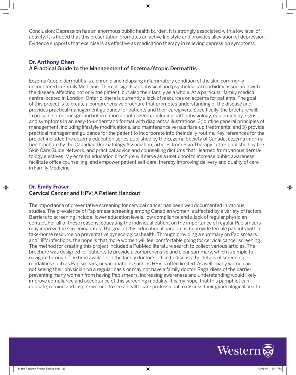Conclusion: Depression has an enormous public health burden. It is strongly associated with a low level of activity. It is hoped that this presentation promotes an active life style and provides alleviation of depression. Evidence supports that exercise is as effective as medication therapy in relieving depression symptoms.

#### **Dr. Anthony Chen** A Practical Guide to the Management of Eczema/Atopic Dermatitis

Eczema/atopic dermatitis is a chronic and relapsing inflammatory condition of the skin commonly encountered in Family Medicine. There is significant physical and psychological morbidity associated with the disease, affecting not only the patient, but also their family as a whole. At a particular family medical centre located in London, Ontario, there is currently a lack of resources on eczema for patients. The goal of this project is to create a comprehensive brochure that promotes understanding of the disease and provides practical management guidance for patients and their caregivers. Specifically, the brochure will: 1) present some background information about eczema, including pathophysiology, epidemiology, signs, and symptoms in an easy-to-understand format with diagrams/illustrations; 2) outline general principles of management, including lifestyle modifications, and maintenance versus flare-up treatments; and 3) provide practical management guidance for the patient to incorporate into their daily routine. Key references for the project included the eczema education series published by the Eczema Society of Canada, eczema information brochure by the Canadian Dermatology Association, articles from Skin Therapy Letter published by the Skin Care Guide Network, and practical advice and counselling dictums that I learned from various dermatology electives. My eczema education brochure will serve as a useful tool to increase public awareness, facilitate office counselling, and empower patient self-care, thereby improving delivery and quality of care in Family Medicine.

#### **Dr. Emily Fraser** Cervical Cancer and HPV: A Patient Handout

The importance of preventative screening for cervical cancer has been well documented in various studies. The prevalence of Pap smear screening among Canadian women is affected by a variety of factors. Barriers to screening include: lower education levels, low compliance and a lack of regular physician contact. For all of these reasons, educating the individual patient on the importance of regular Pap smears may improve the screening rates. The goal of this educational handout is to provide female patients with a take-home resource on preventative gynecological health. Through providing a summary on Pap smears and HPV infections, the hope is that more women will feel comfortable going for cervical cancer screening. The method for creating this project included a PubMed literature search to collect various articles. The brochure was designed for patients to provide a comprehensive and clear summary, which is simple to navigate through. The time available in the family doctor's office to discuss the details of screening modalities such as Pap smears, or vaccinations such as HPV is often limited. As well, many women are not seeing their physician on a regular basis or may not have a family doctor. Regardless of the barrier preventing many women from having Pap smears, increasing awareness and understanding would likely improve compliance and acceptance of this screening modality. It is my hope, that this pamphlet can educate, remind and inspire women to see a health care professional to discuss their gynecological health.



⊕

⊕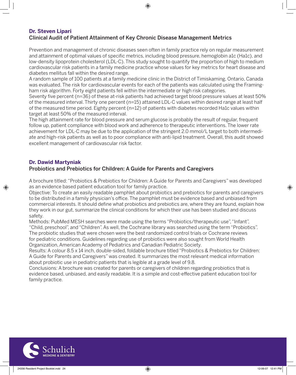#### **Dr. Steven Lipari** Clinical Audit of Patient Attainment of Key Chronic Disease Management Metrics

Prevention and management of chronic diseases seen often in family practice rely on regular measurement and attainment of optimal values of specific metrics, including blood pressure, hemoglobin a1c (Ha1c), and low-density lipoprotein cholesterol (LDL-C). This study sought to quantify the proportion of high to medium cardiovascular risk patients in a family medicine practice whose values for key metrics for heart disease and diabetes mellitus fall within the desired range.

A random sample of 100 patients at a family medicine clinic in the District of Timiskaming, Ontario, Canada was evaluated. The risk for cardiovascular events for each of the patients was calculated using the Framingham risk algorithm. Forty eight patients fell within the intermediate or high risk categories.

Seventy five percent (n=36) of these at-risk patients had achieved target blood pressure values at least 50% of the measured interval. Thirty one percent (n=15) attained LDL-C values within desired range at least half of the measured time period. Eighty percent (n=12) of patients with diabetes recorded Ha1c values within target at least 50% of the measured interval.

The high attainment rate for blood pressure and serum glucose is probably the result of regular, frequent follow up, patient compliance with blood work and adherence to therapeutic interventions. The lower rate achievement for LDL-C may be due to the application of the stringent 2.0 mmol/L target to both intermediate and high-risk patients as well as to poor compliance with anti-lipid treatment. Overall, this audit showed excellent management of cardiovascular risk factor.

#### **Dr. Dawid Martyniak**

⊕

#### Probiotics and Prebiotics for Children: A Guide for Parents and Caregivers

A brochure titled: "Probiotics & Prebiotics for Children: A Guide for Parents and Caregivers" was developed as an evidence based patient education tool for family practice.

Objective: To create an easily readable pamphlet about probiotics and prebiotics for parents and caregivers to be distributed in a family physician's office. The pamphlet must be evidence based and unbiased from commercial interests. It should define what probiotics and prebiotics are, where they are found, explain how they work in our gut, summarize the clinical conditions for which their use has been studied and discuss safety.

Methods: PubMed MESH searches were made using the terms "Probiotics/therapeutic use", "Infant", "Child, preschool", and "Children". As well, the Cochrane library was searched using the term "Probiotics". The probiotic studies that were chosen were the best randomized control trials or Cochrane reviews for pediatric conditions. Guidelines regarding use of probiotics were also sought from World Health Organization, American Academy of Pediatrics and Canadian Pediatric Society.

Results: A colour 8.5 x 14 inch, double-sided, foldable brochure titled "Probiotics & Prebiotics for Children: A Guide for Parents and Caregivers" was created. It summarizes the most relevant medical information about probiotic use in pediatric patients that is legible at a grade level of 9.8.

Conclusions: A brochure was created for parents or caregivers of children regarding probiotics that is evidence based, unbiased, and easily readable. It is a simple and cost-effective patient education tool for family practice.

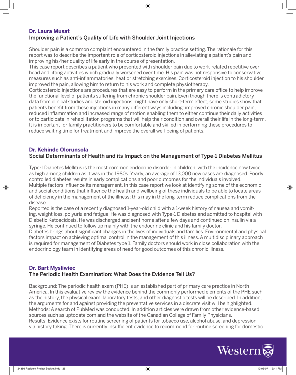#### **Dr. Laura Musat**

#### Improving a Patient's Quality of Life with Shoulder Joint Injections

Shoulder pain is a common complaint encountered in the family practice setting. The rationale for this report was to describe the important role of corticosteroid injections in alleviating a patient's pain and improving his/her quality of life early in the course of presentation.

This case report describes a patient who presented with shoulder pain due to work-related repetitive overhead and lifting activities which gradually worsened over time. His pain was not responsive to conservative measures such as anti-inflammatories, heat or stretching exercises. Corticosteroid injection to his shoulder improved the pain, allowing him to return to his work and complete physiotherapy.

⊕

Corticosteroid injections are procedures that are easy to perform in the primary care office to help improve the functional level of patients suffering from chronic shoulder pain. Even though there is contradictory data from clinical studies and steroid injections might have only short-term effect, some studies show that patients benefit from these injections in many different ways including: improved chronic shoulder pain, reduced inflammation and increased range of motion enabling them to either continue their daily activities or to participate in rehabilitation programs that will help their condition and overall their life in the long-term. It is important for family practitioners to be comfortable and skilled in performing these procedures to reduce waiting time for treatment and improve the overall well-being of patients.

#### **Dr. Kehinde Olorunsola**

⊕

#### Social Determinants of Health and its Impact on the Management of Type-1 Diabetes Mellitus

Type-1 Diabetes Mellitus is the most common endocrine disorder in children, with the incidence now twice as high among children as it was in the 1980s. Yearly, an average of 13,000 new cases are diagnosed. Poorly controlled diabetes results in early complications and poor outcomes for the individuals involved. Multiple factors influence its management. In this case report we look at identifying some of the economic and social conditions that influence the health and wellbeing of these individuals to be able to locate areas of deficiency in the management of the illness; this may in the long-term reduce complications from the disease.

Reported is the case of a recently diagnosed 1-year-old child with a 1-week history of nausea and vomiting, weight loss, polyuria and fatigue. He was diagnosed with Type-1 Diabetes and admitted to hospital with Diabetic Ketoacidosis. He was discharged and sent home after a few days and continued on insulin via a syringe. He continued to follow up mainly with the endocrine clinic and his family doctor.

Diabetes brings about significant changes in the lives of individuals and families. Environmental and physical factors impact on achieving optimal control in the management of this illness. A multidisciplinary approach is required for management of Diabetes type 1. Family doctors should work in close collaboration with the endocrinology team in identifying areas of need for good outcomes of this chronic illness.

#### **Dr. Bart Mysliwiec**

#### The Periodic Health Examination: What Does the Evidence Tell Us?

Background: The periodic health exam (PHE) is an established part of primary care practice in North America. In this evaluative review the evidence behind the commonly performed elements of the PHE such as the history, the physical exam, laboratory tests, and other diagnostic tests will be described. In addition, the arguments for and against providing the preventative services in a discrete visit will be highlighted. Methods: A search of PubMed was conducted. In addition articles were drawn from other evidence-based sources such as uptodate.com and the website of the Canadian College of Family Physicians. Results: Evidence exists for routine screening of patients for tobacco use, alcohol abuse, and depression via history taking. There is currently insufficient evidence to recommend for routine screening for domestic

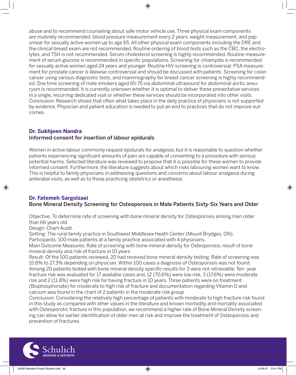♠

abuse and to recommend counseling about safe motor vehicle use. Three physical exam components are routinely recommended: blood pressure measurement every 2 years, weight measurement, and pap smear for sexually active women up to age 65. All other physical exam components including the DRE and the clinical breast exam are not recommended. Routine ordering of blood tests such as the CBC, the electrolytes, and TSH is not recommended. Serum cholesterol screening is highly recommended. Routine measurement of serum glucose is recommended in specific populations. Screening for chlamydia is recommended for sexually active women aged 24 years and younger. Routine HIV screening is controversial. PSA measurement for prostate cancer is likewise controversial and should be discussed with patients. Screening for colon cancer using various diagnostic tests, and mammography for breast cancer screening is highly recommended. One time screening of male smokers aged 65-75 via abdominal ultrasound for abdominal aortic aneurysm is recommended. It is currently unknown whether it is optimal to deliver these preventative services in a single, recurring dedicated visit or whether these services should be incorporated into other visits. Conclusion: Research shows that often what takes place in the daily practice of physicians is not supported by evidence. Physician and patient education is needed to put an end to practices that do not improve outcomes.

#### **Dr. Sukhjeen Nandra**

#### Informed consent for insertion of labour epidurals

Women in active labour commonly request epidurals for analgesia, but it is reasonable to question whether patients experiencing significant amounts of pain are capable of consenting to a procedure with serious potential harms. Selected literature was reviewed to propose that it is possible for these women to provide informed consent. Furthermore, the literature suggests about which risks labouring women want to know. This is helpful to family physicians in addressing questions and concerns about labour analgesia during antenatal visits, as well as to those practicing obstetrics or anesthesia.

#### **Dr. Fatemeh Sargolzaei**

#### Bone Mineral Density Screening for Osteoporosis in Male Patients Sixty-Six Years and Older

Objective: To determine rate of screening with bone mineral density for Osteoporosis among men older than 66 years old.

Design: Chart Audit.

⊕

Setting: The rural family practice in Southwest Middlesex Heath Center (Mount Brydges, ON).

Participants: 100 male patients at a family practice associated with 4 physicians.

Main Outcome Measures: Rate of screening with bone mineral density for Osteoporosis, result of bone mineral density and risk of fracture in 10 years

Result: Of the 100 patients reviewed, 20 had received bone mineral density testing. Rate of screening was 15.8% to 27.3% depending on physician. Within 100 cases a diagnosis of Osteoporosis was not found. Among 20 patients tested with bone mineral density specific results for 3 were not retrievable. Ten- year fracture risk was evaluated for 17 available cases and, 12 (70.6%) were low risk, 3 (17.6%) were moderate risk and 2 (11.8%) were high risk for having fracture in 10 years. Three patients were on treatment (Bisphosphonate) for moderate to high risk of fracture and documentation regarding Vitamin D and calcium was found in the chart of 2 patients in the moderate risk group.

Conclusion: Considering the relatively high percentage of patients with moderate to high fracture risk found in this study as compared with other values in the literature and known morbidity and mortality associated with Osteoporotic fracture in this population, we recommend a higher rate of Bone Mineral Density screening can allow for earlier identification of older men at risk and improve the treatment of Osteoporosis and prevention of fractures.

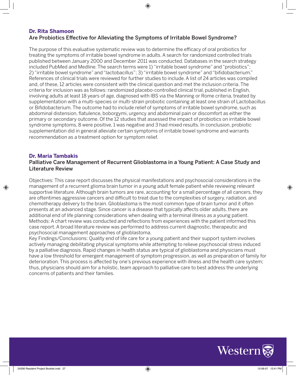#### **Dr. Rita Shamoon** Are Probiotics Effective for Alleviating the Symptoms of Irritable Bowel Syndrome?

The purpose of this evaluative systematic review was to determine the efficacy of oral probiotics for treating the symptoms of irritable bowel syndrome in adults. A search for randomized controlled trials published between January 2000 and December 2011 was conducted. Databases in the search strategy included PubMed and Medline. The search terms were 1) "irritable bowel syndrome" and "probiotics"; 2) "irritable bowel syndrome" and "lactobacillus"; 3) "irritable bowel syndrome" and "bifidobacterium." References of clinical trials were reviewed for further studies to include. A list of 24 articles was compiled and, of these, 12 articles were consistent with the clinical question and met the inclusion criteria. The criteria for inclusion was as follows: randomized placebo-controlled clinical trial, published in English, involving adults at least 18 years of age, diagnosed with IBS via the Manning or Rome criteria, treated by supplementation with a multi-species or multi-strain probiotic containing at least one strain of Lactobacillus or Bifidobacterium. The outcome had to include relief of symptoms of irritable bowel syndrome, such as abdominal distension, flatulence, boborgymi, urgency and abdominal pain or discomfort as either the primary or secondary outcome. Of the 12 studies that assessed the impact of probiotics on irritable bowel syndrome symptoms, 8 were positive, 1 was negative and 3 had mixed results. In conclusion, probiotic supplementation did in general alleviate certain symptoms of irritable bowel syndrome and warrants recommendation as a treatment option for symptom relief.

#### **Dr. Maria Tambakis**

⊕

#### Palliative Care Management of Recurrent Glioblastoma in a Young Patient: A Case Study and Literature Review

Objectives: This case report discusses the physical manifestations and psychosocial considerations in the management of a recurrent glioma brain tumor in a young adult female patient while reviewing relevant supportive literature. Although brain tumors are rare, accounting for a small percentage of all cancers, they are oftentimes aggressive cancers and difficult to treat due to the complexities of surgery, radiation, and chemotherapy delivery to the brain. Glioblastoma is the most common type of brain tumor and it often presents at an advanced stage. Since cancer is a disease that typically affects older adults, there are additional end of life planning considerations when dealing with a terminal illness as a young patient. Methods: A chart review was conducted and reflections from experiences with the patient informed this case report. A broad literature review was performed to address current diagnostic, therapeutic and psychosocial management approaches of glioblastoma.

Key Findings/Conclusions: Quality end of life care for a young patient and their support system involves actively managing debilitating physical symptoms while attempting to relieve psychosocial stress induced by a palliative diagnosis. Rapid changes in health status are typical of glioblastoma and physicians must have a low threshold for emergent management of symptom progression, as well as preparation of family for deterioration. This process is affected by one's previous experience with illness and the health care system; thus, physicians should aim for a holistic, team approach to palliative care to best address the underlying concerns of patients and their families.